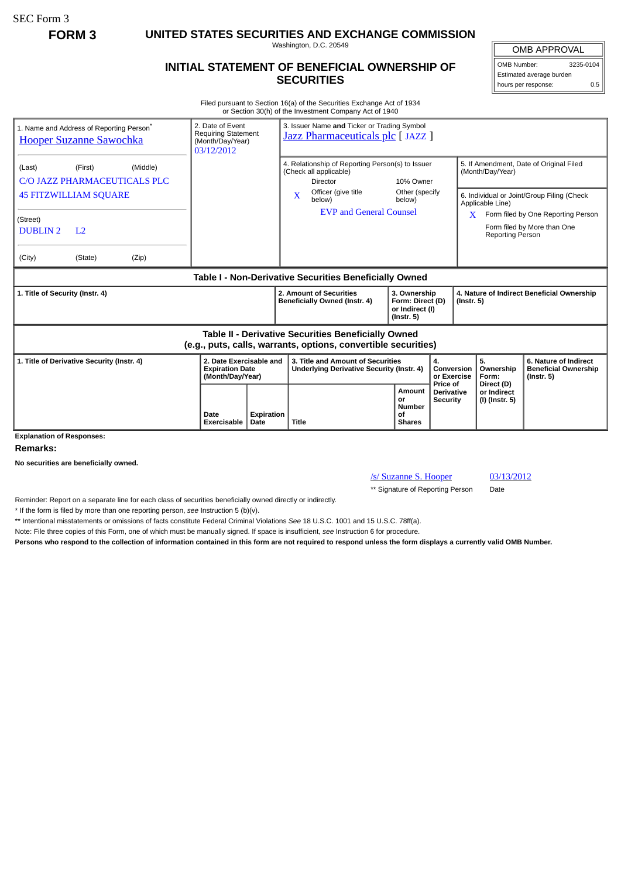SEC Form 3

**FORM 3 UNITED STATES SECURITIES AND EXCHANGE COMMISSION**

Washington, D.C. 20549

## **INITIAL STATEMENT OF BENEFICIAL OWNERSHIP OF SECURITIES**

OMB APPROVAL

OMB Number: 3235-0104 Estimated average burden hours per response: 0.5

Filed pursuant to Section 16(a) of the Securities Exchange Act of 1934 or Section 30(h) of the Investment Company Act of 1940

| 1. Name and Address of Reporting Person <sup>®</sup><br><b>Hooper Suzanne Sawochka</b>                                | 2. Date of Event<br><b>Requiring Statement</b><br>(Month/Day/Year)<br>03/12/2012 |                   | 3. Issuer Name and Ticker or Trading Symbol<br>Jazz Pharmaceuticals plc [JAZZ ]               |                                                                         |                                      |                                                                |                                                                          |  |
|-----------------------------------------------------------------------------------------------------------------------|----------------------------------------------------------------------------------|-------------------|-----------------------------------------------------------------------------------------------|-------------------------------------------------------------------------|--------------------------------------|----------------------------------------------------------------|--------------------------------------------------------------------------|--|
| (Middle)<br>(First)<br>(Last)<br>C/O JAZZ PHARMACEUTICALS PLC                                                         |                                                                                  |                   | 4. Relationship of Reporting Person(s) to Issuer<br>(Check all applicable)<br><b>Director</b> | 10% Owner                                                               |                                      | (Month/Day/Year)                                               | 5. If Amendment, Date of Original Filed                                  |  |
| <b>45 FITZWILLIAM SQUARE</b>                                                                                          |                                                                                  |                   | Officer (give title)<br>$\mathbf{x}$<br>below)                                                | Other (specify<br>below)                                                |                                      | 6. Individual or Joint/Group Filing (Check<br>Applicable Line) |                                                                          |  |
| (Street)<br><b>DUBLIN2</b><br>L <sub>2</sub>                                                                          |                                                                                  |                   | <b>EVP and General Counsel</b>                                                                |                                                                         |                                      | X<br>Reporting Person                                          | Form filed by One Reporting Person<br>Form filed by More than One        |  |
| (City)<br>(Zip)<br>(State)                                                                                            |                                                                                  |                   |                                                                                               |                                                                         |                                      |                                                                |                                                                          |  |
| Table I - Non-Derivative Securities Beneficially Owned                                                                |                                                                                  |                   |                                                                                               |                                                                         |                                      |                                                                |                                                                          |  |
| 1. Title of Security (Instr. 4)                                                                                       |                                                                                  |                   | 2. Amount of Securities<br>Beneficially Owned (Instr. 4)                                      | 3. Ownership<br>Form: Direct (D)<br>or Indirect (I)<br>$($ lnstr. 5 $)$ |                                      | 4. Nature of Indirect Beneficial Ownership<br>$($ Instr. 5 $)$ |                                                                          |  |
| Table II - Derivative Securities Beneficially Owned<br>(e.g., puts, calls, warrants, options, convertible securities) |                                                                                  |                   |                                                                                               |                                                                         |                                      |                                                                |                                                                          |  |
| 1. Title of Derivative Security (Instr. 4)                                                                            | 2. Date Exercisable and<br><b>Expiration Date</b><br>(Month/Day/Year)            |                   | 3. Title and Amount of Securities<br><b>Underlying Derivative Security (Instr. 4)</b>         | 4.<br>Conversion<br>or Exercise<br>Price of                             |                                      | 5.<br>Ownership<br>Form:<br>Direct (D)                         | 6. Nature of Indirect<br><b>Beneficial Ownership</b><br>$($ lnstr. 5 $)$ |  |
| <b>Explanation of Responses:</b>                                                                                      | Date<br>Exercisable<br>Date                                                      | <b>Expiration</b> | <b>Amount</b><br>or<br><b>Number</b><br>of<br>Title<br><b>Shares</b>                          |                                                                         | <b>Derivative</b><br><b>Security</b> | or Indirect<br>(I) (Instr. 5)                                  |                                                                          |  |

**Remarks:**

**No securities are beneficially owned.**

/s/ Suzanne S. Hooper 03/13/2012

\*\* Signature of Reporting Person Date

Reminder: Report on a separate line for each class of securities beneficially owned directly or indirectly.

\* If the form is filed by more than one reporting person, *see* Instruction 5 (b)(v).

\*\* Intentional misstatements or omissions of facts constitute Federal Criminal Violations *See* 18 U.S.C. 1001 and 15 U.S.C. 78ff(a).

Note: File three copies of this Form, one of which must be manually signed. If space is insufficient, *see* Instruction 6 for procedure.

**Persons who respond to the collection of information contained in this form are not required to respond unless the form displays a currently valid OMB Number.**